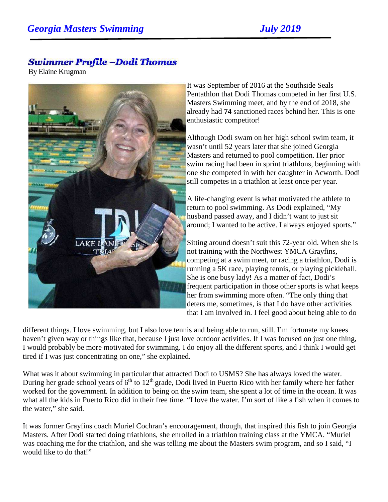## **Swimmer Profile -Dodi Thomas**

By Elaine Krugman



It was September of 2016 at the Southside Seals Pentathlon that Dodi Thomas competed in her first U.S. Masters Swimming meet, and by the end of 2018, she already had **74** sanctioned races behind her. This is one enthusiastic competitor!

Although Dodi swam on her high school swim team, it wasn't until 52 years later that she joined Georgia Masters and returned to pool competition. Her prior swim racing had been in sprint triathlons, beginning with one she competed in with her daughter in Acworth. Dodi still competes in a triathlon at least once per year.

A life-changing event is what motivated the athlete to return to pool swimming. As Dodi explained, "My husband passed away, and I didn't want to just sit around; I wanted to be active. I always enjoyed sports."

Sitting around doesn't suit this 72-year old. When she is not training with the Northwest YMCA Grayfins, competing at a swim meet, or racing a triathlon, Dodi is running a 5K race, playing tennis, or playing pickleball. She is one busy lady! As a matter of fact, Dodi's frequent participation in those other sports is what keeps her from swimming more often. "The only thing that deters me, sometimes, is that I do have other activities that I am involved in. I feel good about being able to do

different things. I love swimming, but I also love tennis and being able to run, still. I'm fortunate my knees haven't given way or things like that, because I just love outdoor activities. If I was focused on just one thing, I would probably be more motivated for swimming. I do enjoy all the different sports, and I think I would get tired if I was just concentrating on one," she explained.

What was it about swimming in particular that attracted Dodi to USMS? She has always loved the water. During her grade school years of  $6<sup>th</sup>$  to  $12<sup>th</sup>$  grade, Dodi lived in Puerto Rico with her family where her father worked for the government. In addition to being on the swim team, she spent a lot of time in the ocean. It was what all the kids in Puerto Rico did in their free time. "I love the water. I'm sort of like a fish when it comes to the water," she said.

It was former Grayfins coach Muriel Cochran's encouragement, though, that inspired this fish to join Georgia Masters. After Dodi started doing triathlons, she enrolled in a triathlon training class at the YMCA. "Muriel was coaching me for the triathlon, and she was telling me about the Masters swim program, and so I said, "I would like to do that!"